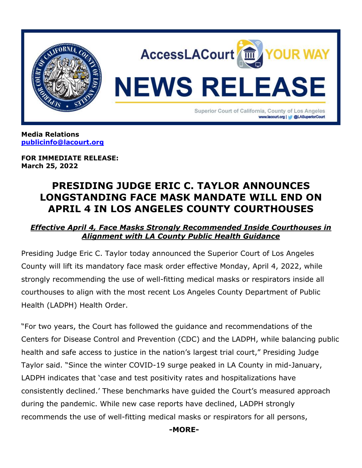

**Media Relations [publicinfo@lacourt.org](mailto:publicinfo@lacourt.org)**

**FOR IMMEDIATE RELEASE: March 25, 2022**

# **PRESIDING JUDGE ERIC C. TAYLOR ANNOUNCES LONGSTANDING FACE MASK MANDATE WILL END ON APRIL 4 IN LOS ANGELES COUNTY COURTHOUSES**

# *Effective April 4, Face Masks Strongly Recommended Inside Courthouses in Alignment with LA County Public Health Guidance*

Presiding Judge Eric C. Taylor today announced the Superior Court of Los Angeles County will lift its mandatory face mask order effective Monday, April 4, 2022, while strongly recommending the use of well-fitting medical masks or respirators inside all courthouses to align with the most recent Los Angeles County Department of Public Health (LADPH) Health Order.

"For two years, the Court has followed the guidance and recommendations of the Centers for Disease Control and Prevention (CDC) and the LADPH, while balancing public health and safe access to justice in the nation's largest trial court," Presiding Judge Taylor said. "Since the winter COVID-19 surge peaked in LA County in mid-January, LADPH indicates that 'case and test positivity rates and hospitalizations have consistently declined.' These benchmarks have guided the Court's measured approach during the pandemic. While new case reports have declined, LADPH strongly recommends the use of well-fitting medical masks or respirators for all persons,

 **-MORE-**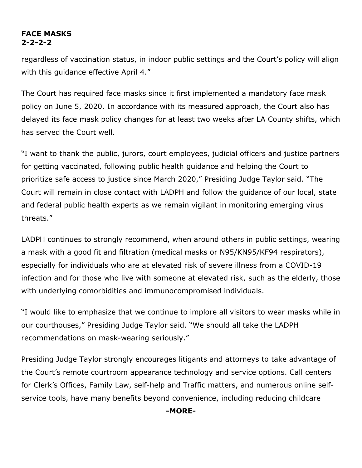## **FACE MASKS 2-2-2-2**

regardless of vaccination status, in indoor public settings and the Court's policy will align with this guidance effective April 4."

The Court has required face masks since it first implemented a mandatory face mask policy on June 5, 2020. In accordance with its measured approach, the Court also has delayed its face mask policy changes for at least two weeks after LA County shifts, which has served the Court well.

"I want to thank the public, jurors, court employees, judicial officers and justice partners for getting vaccinated, following public health guidance and helping the Court to prioritize safe access to justice since March 2020," Presiding Judge Taylor said. "The Court will remain in close contact with LADPH and follow the guidance of our local, state and federal public health experts as we remain vigilant in monitoring emerging virus threats."

LADPH continues to strongly recommend, when around others in public settings, wearing a mask with a good fit and filtration (medical masks or N95/KN95/KF94 respirators), especially for individuals who are at elevated risk of severe illness from a COVID-19 infection and for those who live with someone at elevated risk, such as the elderly, those with underlying comorbidities and immunocompromised individuals.

"I would like to emphasize that we continue to implore all visitors to wear masks while in our courthouses," Presiding Judge Taylor said. "We should all take the LADPH recommendations on mask-wearing seriously."

Presiding Judge Taylor strongly encourages litigants and attorneys to take advantage of the Court's remote courtroom appearance technology and service options. Call centers for Clerk's Offices, Family Law, self-help and Traffic matters, and numerous online selfservice tools, have many benefits beyond convenience, including reducing childcare

**-MORE-**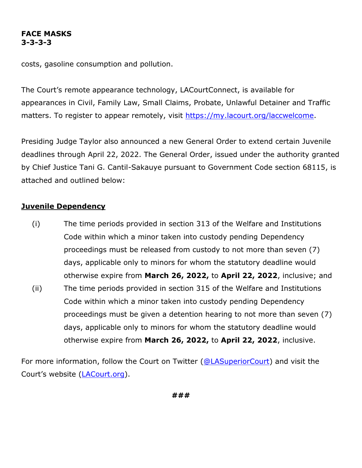### **FACE MASKS 3-3-3-3**

costs, gasoline consumption and pollution.

The Court's remote appearance technology, LACourtConnect, is available for appearances in Civil, Family Law, Small Claims, Probate, Unlawful Detainer and Traffic matters. To register to appear remotely, visit [https://my.lacourt.org/laccwelcome.](https://my.lacourt.org/laccwelcome)

Presiding Judge Taylor also announced a new General Order to extend certain Juvenile deadlines through April 22, 2022. The General Order, issued under the authority granted by Chief Justice Tani G. Cantil-Sakauye pursuant to Government Code section 68115, is attached and outlined below:

# **Juvenile Dependency**

(i) The time periods provided in section 313 of the Welfare and Institutions Code within which a minor taken into custody pending Dependency proceedings must be released from custody to not more than seven (7) days, applicable only to minors for whom the statutory deadline would otherwise expire from **March 26, 2022,** to **April 22, 2022**, inclusive; and (ii) The time periods provided in section 315 of the Welfare and Institutions Code within which a minor taken into custody pending Dependency proceedings must be given a detention hearing to not more than seven (7) days, applicable only to minors for whom the statutory deadline would

For more information, follow the Court on Twitter [\(@LASuperiorCourt\)](https://twitter.com/LASuperiorCourt) and visit the Court's website ([LACourt.org\)](https://www.lacourt.org/).

**###**

otherwise expire from **March 26, 2022,** to **April 22, 2022**, inclusive.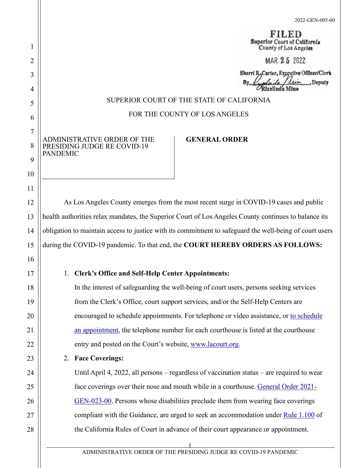**RILED** Superlor Court of California County of Los Angeles

MAR 25 2022

Sherri R.Carter, Executive Officer/Clerk Deputy

#### SUPERIOR COURT OF THE STATE OF CALIFORNIA

### FOR THE COUNTY OF LOS ANGELES

ADMINISTRATIVE ORDER OF THE PRESIDING JUDGE RE COVID-19 PANDEMIC

### **GENERAL ORDER**

As Los Angeles County emerges from the most recent surge in COVID-19 cases and public health authorities relax mandates, the Superior Court of Los Angeles County continues to balance its obligation to maintain access to justice with its commitment to safeguard the well-being of court users during the COVID-19 pandemic. To that end, the **COURT HEREBY ORDERS AS FOLLOWS:**

### 1. **Clerk's Office and Self-Help Center Appointments:**

In the interest of safeguarding the well-being of court users, persons seeking services from the Clerk's Office, court support services, and/or the Self-Help Centers are encouraged to schedule appointments. For telephone or video assistance, or [to schedule](http://www.lacourt.org/newsmedia/ui/pdf/CALLCENTERPHONENUMBERSAccessLACourtUpdate_3.pdf)  [an appointment,](http://www.lacourt.org/newsmedia/ui/pdf/CALLCENTERPHONENUMBERSAccessLACourtUpdate_3.pdf) the telephone number for each courthouse is listed at the courthouse entry and posted on the Court's website, [www.lacourt.org.](http://www.lacourt.org/)

#### 2. **Face Coverings:**

Until April 4, 2022, all persons – regardless of vaccination status – are required to wear face coverings over their nose and mouth while in a courthouse. [General Order 2021-](http://www.lacourt.org/newsmedia/uploads/1420216241552562021-GEN-023-00AdministrativeOrderofPJreFacialCoveringsandSocialDistancing062421.pdf) [GEN-023-00.](http://www.lacourt.org/newsmedia/uploads/1420216241552562021-GEN-023-00AdministrativeOrderofPJreFacialCoveringsandSocialDistancing062421.pdf) Persons whose disabilities preclude them from wearing face coverings compliant with the Guidance, are urged to seek an accommodation under [Rule 1.100](https://www.courts.ca.gov/cms/rules/index.cfm?title=one&linkid=rule1_100) of the California Rules of Court in advance of their court appearance or appointment.